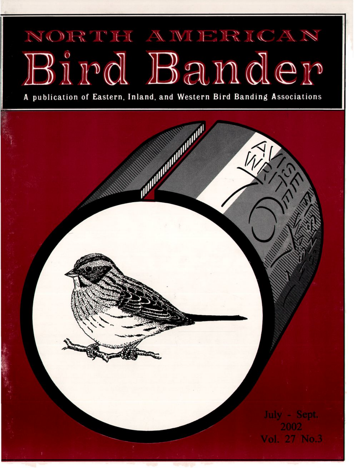## NORTH A WIERICAN **l ,1**

**A publication of Eastern, Inland, and Western Bird Banding Associations**